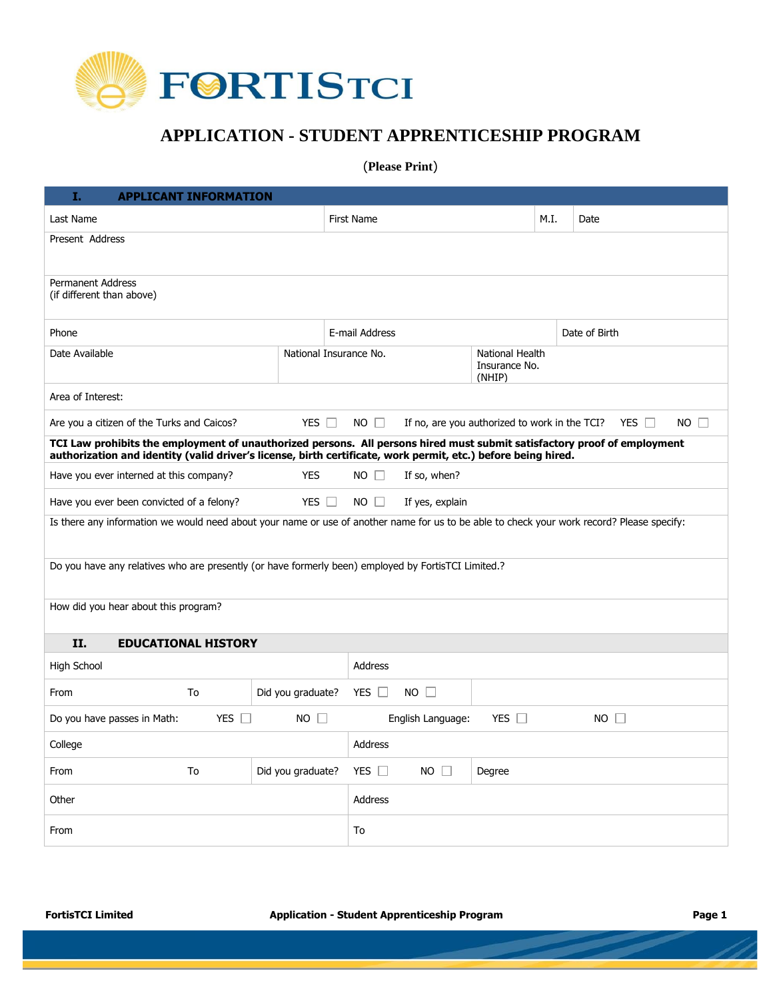

## **APPLICATION - STUDENT APPRENTICESHIP PROGRAM**

(**Please Print**)

| Ι.<br><b>APPLICANT INFORMATION</b>                                                                                                                                                                                                        |                   |                        |                                            |            |      |               |  |
|-------------------------------------------------------------------------------------------------------------------------------------------------------------------------------------------------------------------------------------------|-------------------|------------------------|--------------------------------------------|------------|------|---------------|--|
| Last Name                                                                                                                                                                                                                                 |                   | <b>First Name</b>      |                                            |            | M.I. | Date          |  |
| Present Address                                                                                                                                                                                                                           |                   |                        |                                            |            |      |               |  |
|                                                                                                                                                                                                                                           |                   |                        |                                            |            |      |               |  |
| <b>Permanent Address</b><br>(if different than above)                                                                                                                                                                                     |                   |                        |                                            |            |      |               |  |
| Phone                                                                                                                                                                                                                                     |                   | E-mail Address         |                                            |            |      | Date of Birth |  |
| Date Available                                                                                                                                                                                                                            |                   | National Insurance No. | National Health<br>Insurance No.<br>(NHIP) |            |      |               |  |
| Area of Interest:                                                                                                                                                                                                                         |                   |                        |                                            |            |      |               |  |
| YES $\Box$<br>YES $\Box$<br>Are you a citizen of the Turks and Caicos?<br>$NO$ $\Box$<br>If no, are you authorized to work in the TCI?<br>$NO$ $\Box$                                                                                     |                   |                        |                                            |            |      |               |  |
| TCI Law prohibits the employment of unauthorized persons. All persons hired must submit satisfactory proof of employment<br>authorization and identity (valid driver's license, birth certificate, work permit, etc.) before being hired. |                   |                        |                                            |            |      |               |  |
| Have you ever interned at this company?                                                                                                                                                                                                   | <b>YES</b>        | $NO \Box$              | If so, when?                               |            |      |               |  |
| Have you ever been convicted of a felony?                                                                                                                                                                                                 | YES $\Box$        | $NO$ $\Box$            | If yes, explain                            |            |      |               |  |
| Is there any information we would need about your name or use of another name for us to be able to check your work record? Please specify:                                                                                                |                   |                        |                                            |            |      |               |  |
| Do you have any relatives who are presently (or have formerly been) employed by FortisTCI Limited.?                                                                                                                                       |                   |                        |                                            |            |      |               |  |
| How did you hear about this program?                                                                                                                                                                                                      |                   |                        |                                            |            |      |               |  |
| II.<br><b>EDUCATIONAL HISTORY</b>                                                                                                                                                                                                         |                   |                        |                                            |            |      |               |  |
| High School                                                                                                                                                                                                                               |                   | Address                |                                            |            |      |               |  |
| From<br>To                                                                                                                                                                                                                                | Did you graduate? | YES $\Box$             | $NO$ $\Box$                                |            |      |               |  |
| YES $\Box$<br>Do you have passes in Math:                                                                                                                                                                                                 | $NO$ $\Box$       |                        | English Language:                          | YES $\Box$ |      | $NO$ $\Box$   |  |
| College                                                                                                                                                                                                                                   |                   | Address                |                                            |            |      |               |  |
| To<br>From                                                                                                                                                                                                                                | Did you graduate? | YES $\Box$             | $NO$ $\Box$                                | Degree     |      |               |  |
| Other                                                                                                                                                                                                                                     |                   | Address                |                                            |            |      |               |  |
| From                                                                                                                                                                                                                                      |                   | To                     |                                            |            |      |               |  |